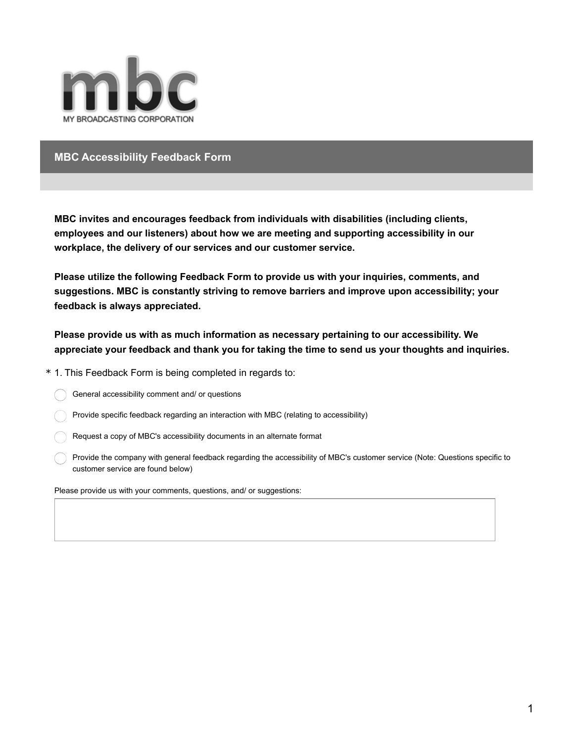

## **MBC Accessibility Feedback Form**

**MBC invites and encourages feedback from individuals with disabilities (including clients, employees and our listeners) about how we are meeting and supporting accessibility in our workplace, the delivery of our services and our customer service.**

**Please utilize the following Feedback Form to provide us with your inquiries, comments, and suggestions. MBC is constantly striving to remove barriers and improve upon accessibility; your feedback is always appreciated.**

**Please provide us with as much information as necessary pertaining to our accessibility. We appreciate your feedback and thank you for taking the time to send us your thoughts and inquiries.**

\* 1. This Feedback Form is being completed in regards to:

General accessibility comment and/ or questions

Provide specific feedback regarding an interaction with MBC (relating to accessibility)

Request a copy of MBC's accessibility documents in an alternate format

Provide the company with general feedback regarding the accessibility of MBC's customer service (Note: Questions specific to customer service are found below)

Please provide us with your comments, questions, and/ or suggestions: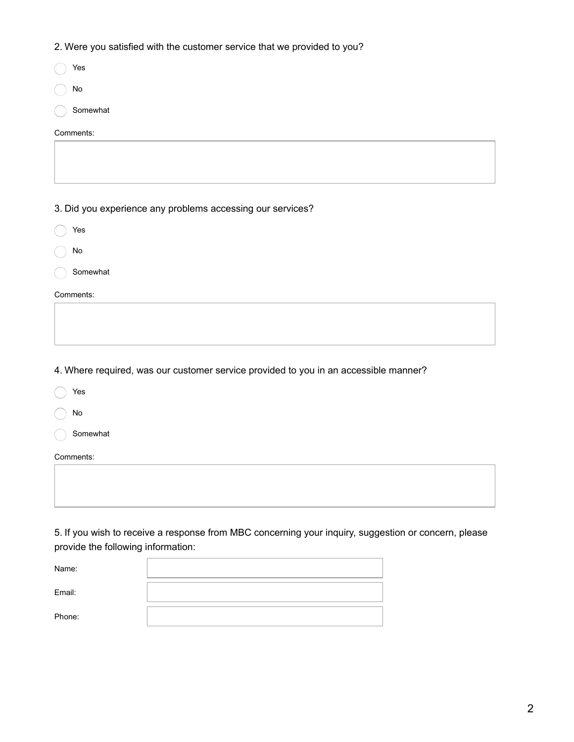2. Were you satisfied with the customer service that we provided to you?

| $\overline{\phantom{a}}$<br>$\sim$                         |
|------------------------------------------------------------|
| Yes                                                        |
| ${\sf No}$                                                 |
| Somewhat                                                   |
| Comments:                                                  |
|                                                            |
|                                                            |
|                                                            |
| 3. Did you experience any problems accessing our services? |
| Yes                                                        |
| ${\sf No}$                                                 |
| Somewhat                                                   |
| Comments:                                                  |
|                                                            |
|                                                            |
|                                                            |

4. Where required, was our customer service provided to you in an accessible manner?

| Yes       |  |  |
|-----------|--|--|
| No        |  |  |
| Somewhat  |  |  |
| Comments: |  |  |
|           |  |  |
|           |  |  |

5. If you wish to receive a response from MBC concerning your inquiry, suggestion or concern, please provide the following information:

| Name:  |  |
|--------|--|
| Email: |  |
| Phone: |  |